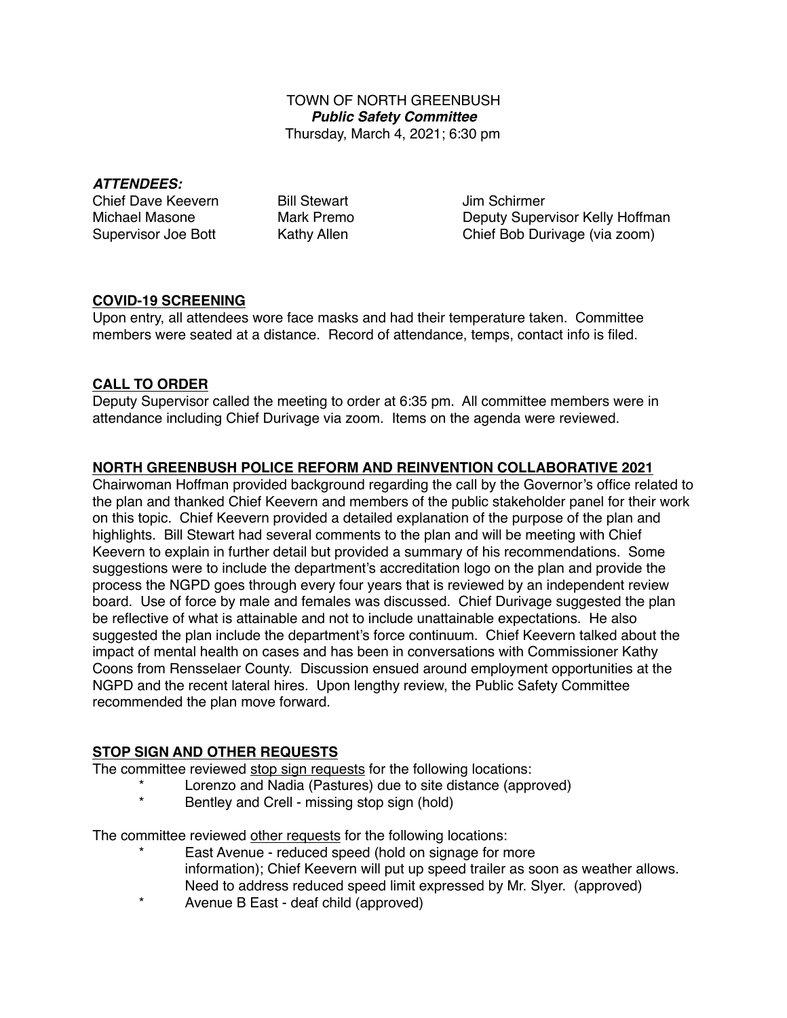## TOWN OF NORTH GREENBUSH *Public Safety Committee* Thursday, March 4, 2021; 6:30 pm

#### *ATTENDEES:*

| <b>Chief Dave Keevern</b>  |
|----------------------------|
| Michael Masone             |
| <b>Supervisor Joe Bott</b> |

**Bill Stewart Chief Lim Schirmer** Mark Premo **Deputy Supervisor Kelly Hoffman** Kathy Allen Chief Bob Durivage (via zoom)

# **COVID-19 SCREENING**

Upon entry, all attendees wore face masks and had their temperature taken. Committee members were seated at a distance. Record of attendance, temps, contact info is filed.

# **CALL TO ORDER**

Deputy Supervisor called the meeting to order at 6:35 pm. All committee members were in attendance including Chief Durivage via zoom. Items on the agenda were reviewed.

# **NORTH GREENBUSH POLICE REFORM AND REINVENTION COLLABORATIVE 2021**

Chairwoman Hoffman provided background regarding the call by the Governor's office related to the plan and thanked Chief Keevern and members of the public stakeholder panel for their work on this topic. Chief Keevern provided a detailed explanation of the purpose of the plan and highlights. Bill Stewart had several comments to the plan and will be meeting with Chief Keevern to explain in further detail but provided a summary of his recommendations. Some suggestions were to include the department's accreditation logo on the plan and provide the process the NGPD goes through every four years that is reviewed by an independent review board. Use of force by male and females was discussed. Chief Durivage suggested the plan be reflective of what is attainable and not to include unattainable expectations. He also suggested the plan include the department's force continuum. Chief Keevern talked about the impact of mental health on cases and has been in conversations with Commissioner Kathy Coons from Rensselaer County. Discussion ensued around employment opportunities at the NGPD and the recent lateral hires. Upon lengthy review, the Public Safety Committee recommended the plan move forward.

# **STOP SIGN AND OTHER REQUESTS**

The committee reviewed stop sign requests for the following locations:

- Lorenzo and Nadia (Pastures) due to site distance (approved)
	- Bentley and Crell missing stop sign (hold)

The committee reviewed other requests for the following locations:

- East Avenue reduced speed (hold on signage for more information); Chief Keevern will put up speed trailer as soon as weather allows. Need to address reduced speed limit expressed by Mr. Slyer. (approved)
- Avenue B East deaf child (approved)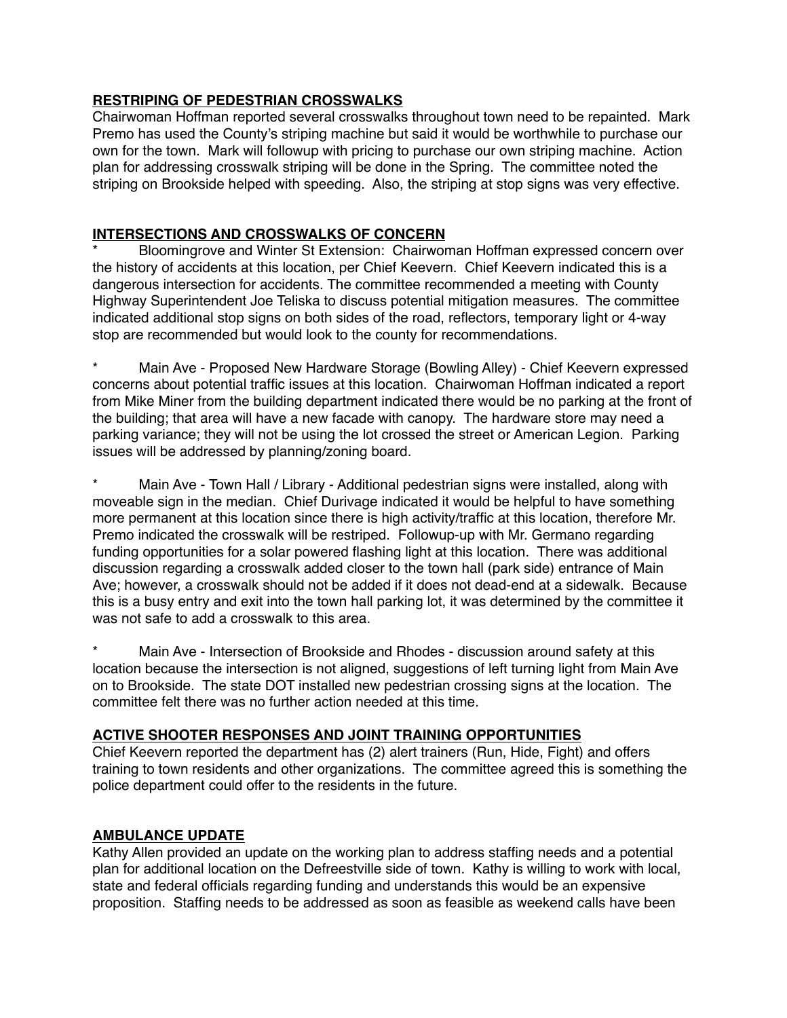## **RESTRIPING OF PEDESTRIAN CROSSWALKS**

Chairwoman Hoffman reported several crosswalks throughout town need to be repainted. Mark Premo has used the County's striping machine but said it would be worthwhile to purchase our own for the town. Mark will followup with pricing to purchase our own striping machine. Action plan for addressing crosswalk striping will be done in the Spring. The committee noted the striping on Brookside helped with speeding. Also, the striping at stop signs was very effective.

## **INTERSECTIONS AND CROSSWALKS OF CONCERN**

\* Bloomingrove and Winter St Extension: Chairwoman Hoffman expressed concern over the history of accidents at this location, per Chief Keevern. Chief Keevern indicated this is a dangerous intersection for accidents. The committee recommended a meeting with County Highway Superintendent Joe Teliska to discuss potential mitigation measures. The committee indicated additional stop signs on both sides of the road, reflectors, temporary light or 4-way stop are recommended but would look to the county for recommendations.

Main Ave - Proposed New Hardware Storage (Bowling Alley) - Chief Keevern expressed concerns about potential traffic issues at this location. Chairwoman Hoffman indicated a report from Mike Miner from the building department indicated there would be no parking at the front of the building; that area will have a new facade with canopy. The hardware store may need a parking variance; they will not be using the lot crossed the street or American Legion. Parking issues will be addressed by planning/zoning board.

Main Ave - Town Hall / Library - Additional pedestrian signs were installed, along with moveable sign in the median. Chief Durivage indicated it would be helpful to have something more permanent at this location since there is high activity/traffic at this location, therefore Mr. Premo indicated the crosswalk will be restriped. Followup-up with Mr. Germano regarding funding opportunities for a solar powered flashing light at this location. There was additional discussion regarding a crosswalk added closer to the town hall (park side) entrance of Main Ave; however, a crosswalk should not be added if it does not dead-end at a sidewalk. Because this is a busy entry and exit into the town hall parking lot, it was determined by the committee it was not safe to add a crosswalk to this area.

Main Ave - Intersection of Brookside and Rhodes - discussion around safety at this location because the intersection is not aligned, suggestions of left turning light from Main Ave on to Brookside. The state DOT installed new pedestrian crossing signs at the location. The committee felt there was no further action needed at this time.

## **ACTIVE SHOOTER RESPONSES AND JOINT TRAINING OPPORTUNITIES**

Chief Keevern reported the department has (2) alert trainers (Run, Hide, Fight) and offers training to town residents and other organizations. The committee agreed this is something the police department could offer to the residents in the future.

#### **AMBULANCE UPDATE**

Kathy Allen provided an update on the working plan to address staffing needs and a potential plan for additional location on the Defreestville side of town. Kathy is willing to work with local, state and federal officials regarding funding and understands this would be an expensive proposition. Staffing needs to be addressed as soon as feasible as weekend calls have been